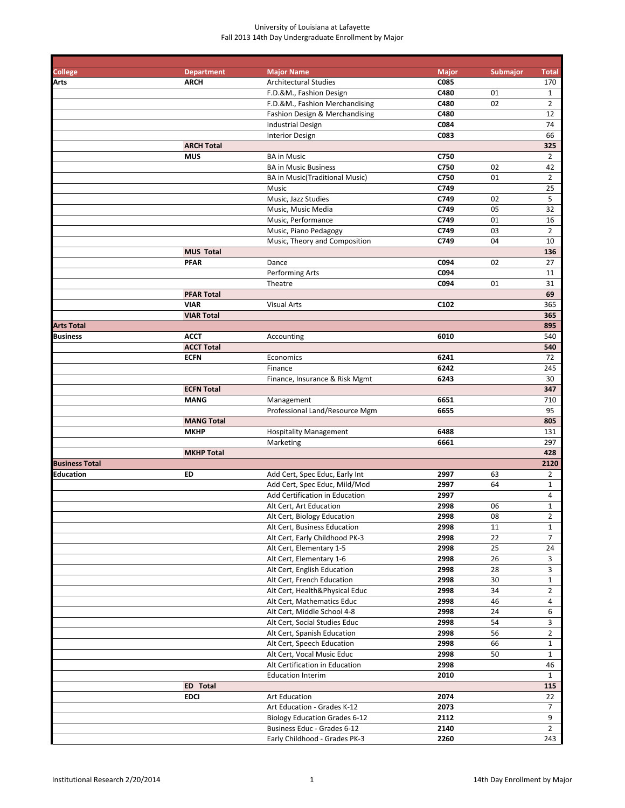| College               | <b>Department</b> | <b>Major Name</b>                     | <b>Major</b>     | <b>Submajor</b> | <b>Total</b>   |
|-----------------------|-------------------|---------------------------------------|------------------|-----------------|----------------|
| Arts                  | <b>ARCH</b>       | <b>Architectural Studies</b>          | C085             |                 | 170            |
|                       |                   | F.D.&M., Fashion Design               | C480             | 01              | $\mathbf{1}$   |
|                       |                   | F.D.&M., Fashion Merchandising        | C480             | 02              | $\overline{2}$ |
|                       |                   | Fashion Design & Merchandising        | C480             |                 | 12             |
|                       |                   | <b>Industrial Design</b>              | C084             |                 | 74             |
|                       |                   | Interior Design                       | C083             |                 | 66             |
|                       | <b>ARCH Total</b> |                                       |                  |                 | 325            |
|                       | <b>MUS</b>        | <b>BA in Music</b>                    | C750             |                 | $\overline{2}$ |
|                       |                   | <b>BA in Music Business</b>           | C750             | 02              | 42             |
|                       |                   | <b>BA</b> in Music(Traditional Music) | C750             | 01              | $\overline{2}$ |
|                       |                   | Music                                 | C749             |                 | 25             |
|                       |                   | Music, Jazz Studies                   | C749             | 02              | 5              |
|                       |                   | Music, Music Media                    | C749             | 05              | 32             |
|                       |                   | Music, Performance                    | C749             | 01              | 16             |
|                       |                   | Music, Piano Pedagogy                 | C749             | 03              | $\overline{2}$ |
|                       |                   | Music, Theory and Composition         | C749             | 04              | 10             |
|                       | <b>MUS Total</b>  |                                       |                  |                 | 136            |
|                       | <b>PFAR</b>       | Dance                                 | C094             | 02              | 27             |
|                       |                   | <b>Performing Arts</b>                | C094             |                 | 11             |
|                       |                   | Theatre                               | C094             | 01              | 31             |
|                       | <b>PFAR Total</b> |                                       |                  |                 | 69             |
|                       | <b>VIAR</b>       | <b>Visual Arts</b>                    | C <sub>102</sub> |                 | 365            |
|                       | <b>VIAR Total</b> |                                       |                  |                 | 365            |
| <b>Arts Total</b>     |                   |                                       |                  |                 | 895            |
| <b>Business</b>       | <b>ACCT</b>       | Accounting                            | 6010             |                 | 540            |
|                       | <b>ACCT Total</b> |                                       |                  |                 | 540            |
|                       | <b>ECFN</b>       | Economics                             | 6241             |                 | 72             |
|                       |                   | Finance                               | 6242             |                 | 245            |
|                       |                   |                                       | 6243             |                 | 30             |
|                       |                   | Finance, Insurance & Risk Mgmt        |                  |                 |                |
|                       | <b>ECFN Total</b> |                                       |                  |                 | 347            |
|                       | <b>MANG</b>       | Management                            | 6651             |                 | 710            |
|                       |                   | Professional Land/Resource Mgm        | 6655             |                 | 95             |
|                       | <b>MANG Total</b> |                                       |                  |                 | 805            |
|                       | <b>MKHP</b>       | <b>Hospitality Management</b>         | 6488             |                 | 131            |
|                       |                   | Marketing                             | 6661             |                 | 297            |
|                       | <b>MKHP Total</b> |                                       |                  |                 | 428            |
| <b>Business Total</b> |                   |                                       |                  |                 | 2120           |
| <b>Education</b>      | ED                | Add Cert, Spec Educ, Early Int        | 2997             | 63              | $\overline{2}$ |
|                       |                   | Add Cert, Spec Educ, Mild/Mod         | 2997             | 64              | $\mathbf{1}$   |
|                       |                   | Add Certification in Education        | 2997             |                 | 4              |
|                       |                   | Alt Cert, Art Education               | 2998             | 06              | $\mathbf{1}$   |
|                       |                   | Alt Cert, Biology Education           | 2998             | ${\bf 08}$      | $\mathbf{2}$   |
|                       |                   | Alt Cert, Business Education          | 2998             | 11              | $\mathbf{1}$   |
|                       |                   | Alt Cert, Early Childhood PK-3        | 2998             | 22              | 7              |
|                       |                   | Alt Cert, Elementary 1-5              | 2998             | 25              | 24             |
|                       |                   | Alt Cert, Elementary 1-6              | 2998             | 26              | $\mathbf{3}$   |
|                       |                   | Alt Cert, English Education           | 2998             | 28              | 3              |
|                       |                   | Alt Cert, French Education            | 2998             | 30              | $\mathbf{1}$   |
|                       |                   | Alt Cert, Health&Physical Educ        | 2998             | 34              | $\overline{2}$ |
|                       |                   | Alt Cert, Mathematics Educ            | 2998             | 46              | 4              |
|                       |                   | Alt Cert, Middle School 4-8           | 2998             | 24              | 6              |
|                       |                   | Alt Cert, Social Studies Educ         | 2998             | 54              | 3              |
|                       |                   | Alt Cert, Spanish Education           | 2998             | 56              | $\overline{2}$ |
|                       |                   | Alt Cert, Speech Education            | 2998             | 66              | $\mathbf{1}$   |
|                       |                   | Alt Cert, Vocal Music Educ            | 2998             | 50              | $\mathbf{1}$   |
|                       |                   | Alt Certification in Education        | 2998             |                 | 46             |
|                       |                   | <b>Education Interim</b>              | 2010             |                 | $\mathbf{1}$   |
|                       | <b>ED</b> Total   |                                       |                  |                 | 115            |
|                       | <b>EDCI</b>       | <b>Art Education</b>                  | 2074             |                 | 22             |
|                       |                   | Art Education - Grades K-12           | 2073             |                 | $\overline{7}$ |
|                       |                   | <b>Biology Education Grades 6-12</b>  | 2112             |                 | 9              |
|                       |                   | Business Educ - Grades 6-12           | 2140             |                 | $\overline{2}$ |
|                       |                   | Early Childhood - Grades PK-3         | 2260             |                 | 243            |
|                       |                   |                                       |                  |                 |                |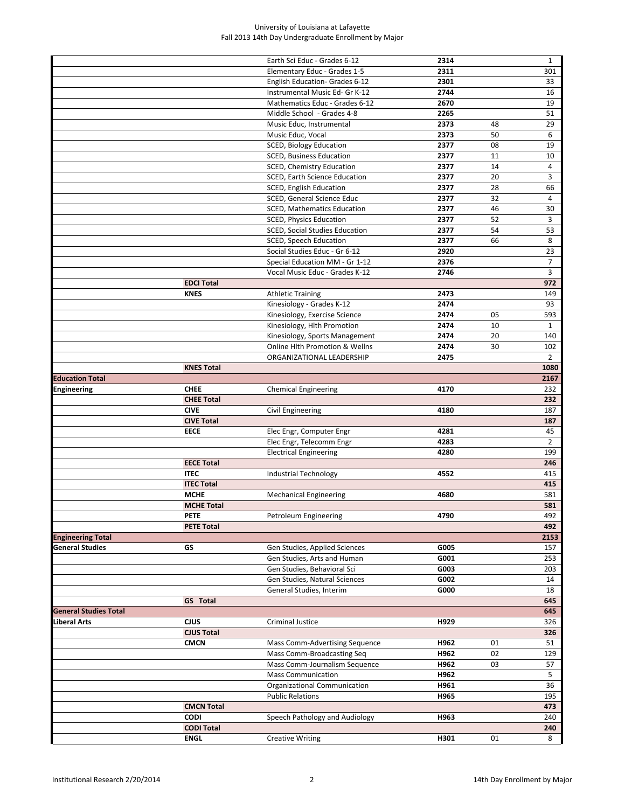|                              |                   | Earth Sci Educ - Grades 6-12       | 2314 |    | $\mathbf{1}$   |
|------------------------------|-------------------|------------------------------------|------|----|----------------|
|                              |                   | Elementary Educ - Grades 1-5       | 2311 |    | 301            |
|                              |                   | English Education- Grades 6-12     | 2301 |    | 33             |
|                              |                   | Instrumental Music Ed- Gr K-12     | 2744 |    | 16             |
|                              |                   | Mathematics Educ - Grades 6-12     | 2670 |    | 19             |
|                              |                   | Middle School - Grades 4-8         | 2265 |    | 51             |
|                              |                   | Music Educ, Instrumental           | 2373 | 48 | 29             |
|                              |                   | Music Educ, Vocal                  | 2373 | 50 | 6              |
|                              |                   | <b>SCED, Biology Education</b>     | 2377 | 08 | 19             |
|                              |                   | <b>SCED, Business Education</b>    | 2377 | 11 | 10             |
|                              |                   | SCED, Chemistry Education          | 2377 | 14 | 4              |
|                              |                   | SCED, Earth Science Education      | 2377 | 20 | 3              |
|                              |                   | SCED, English Education            | 2377 | 28 | 66             |
|                              |                   | SCED, General Science Educ         | 2377 | 32 | 4              |
|                              |                   | <b>SCED, Mathematics Education</b> | 2377 | 46 | 30             |
|                              |                   | <b>SCED, Physics Education</b>     | 2377 | 52 | 3              |
|                              |                   | SCED, Social Studies Education     | 2377 | 54 | 53             |
|                              |                   | <b>SCED, Speech Education</b>      | 2377 | 66 | 8              |
|                              |                   | Social Studies Educ - Gr 6-12      | 2920 |    | 23             |
|                              |                   | Special Education MM - Gr 1-12     | 2376 |    | 7              |
|                              |                   | Vocal Music Educ - Grades K-12     | 2746 |    | 3              |
|                              | <b>EDCI Total</b> |                                    |      |    | 972            |
|                              | <b>KNES</b>       | <b>Athletic Training</b>           | 2473 |    | 149            |
|                              |                   | Kinesiology - Grades K-12          | 2474 |    | 93             |
|                              |                   | Kinesiology, Exercise Science      | 2474 | 05 | 593            |
|                              |                   | Kinesiology, Hlth Promotion        | 2474 | 10 | $\mathbf{1}$   |
|                              |                   | Kinesiology, Sports Management     | 2474 | 20 | 140            |
|                              |                   | Online Hlth Promotion & Wellns     | 2474 | 30 | 102            |
|                              |                   | ORGANIZATIONAL LEADERSHIP          | 2475 |    | $\overline{2}$ |
|                              | <b>KNES Total</b> |                                    |      |    | 1080           |
| <b>Education Total</b>       |                   |                                    |      |    | 2167           |
| <b>Engineering</b>           | <b>CHEE</b>       | <b>Chemical Engineering</b>        | 4170 |    | 232            |
|                              | <b>CHEE Total</b> |                                    |      |    | 232            |
|                              | <b>CIVE</b>       | Civil Engineering                  | 4180 |    | 187            |
|                              | <b>CIVE Total</b> |                                    |      |    | 187            |
|                              | <b>EECE</b>       | Elec Engr, Computer Engr           | 4281 |    | 45             |
|                              |                   | Elec Engr, Telecomm Engr           | 4283 |    | $\overline{2}$ |
|                              |                   | <b>Electrical Engineering</b>      | 4280 |    | 199            |
|                              | <b>EECE Total</b> |                                    |      |    | 246            |
|                              | <b>ITEC</b>       | Industrial Technology              | 4552 |    | 415            |
|                              | <b>ITEC Total</b> |                                    |      |    | 415            |
|                              | <b>MCHE</b>       | <b>Mechanical Engineering</b>      | 4680 |    | 581            |
|                              | <b>MCHE Total</b> |                                    |      |    | 581            |
|                              | <b>PETE</b>       | Petroleum Engineering              | 4790 |    | 492            |
|                              | <b>PETE Total</b> |                                    |      |    | 492            |
| <b>Engineering Total</b>     |                   |                                    |      |    | 2153           |
| General Studies              | GS                | Gen Studies, Applied Sciences      | G005 |    | 157            |
|                              |                   | Gen Studies, Arts and Human        | G001 |    | 253            |
|                              |                   | Gen Studies, Behavioral Sci        | G003 |    | 203            |
|                              |                   | Gen Studies, Natural Sciences      | G002 |    | 14             |
|                              |                   | General Studies, Interim           | G000 |    | 18             |
|                              | <b>GS</b> Total   |                                    |      |    | 645            |
| <b>General Studies Total</b> |                   |                                    |      |    | 645            |
| Liberal Arts                 | <b>CJUS</b>       | Criminal Justice                   | H929 |    | 326            |
|                              | <b>CJUS Total</b> |                                    |      |    | 326            |
|                              | <b>CMCN</b>       | Mass Comm-Advertising Sequence     | H962 | 01 | 51             |
|                              |                   | Mass Comm-Broadcasting Seq         | H962 | 02 | 129            |
|                              |                   | Mass Comm-Journalism Sequence      | H962 | 03 | 57             |
|                              |                   | <b>Mass Communication</b>          | H962 |    | 5              |
|                              |                   | Organizational Communication       | H961 |    | 36             |
|                              |                   | <b>Public Relations</b>            | H965 |    | 195            |
|                              | <b>CMCN Total</b> |                                    |      |    | 473            |
|                              | <b>CODI</b>       | Speech Pathology and Audiology     | H963 |    | 240            |
|                              | <b>CODI Total</b> |                                    |      |    | 240            |
|                              | <b>ENGL</b>       | <b>Creative Writing</b>            | H301 | 01 | 8              |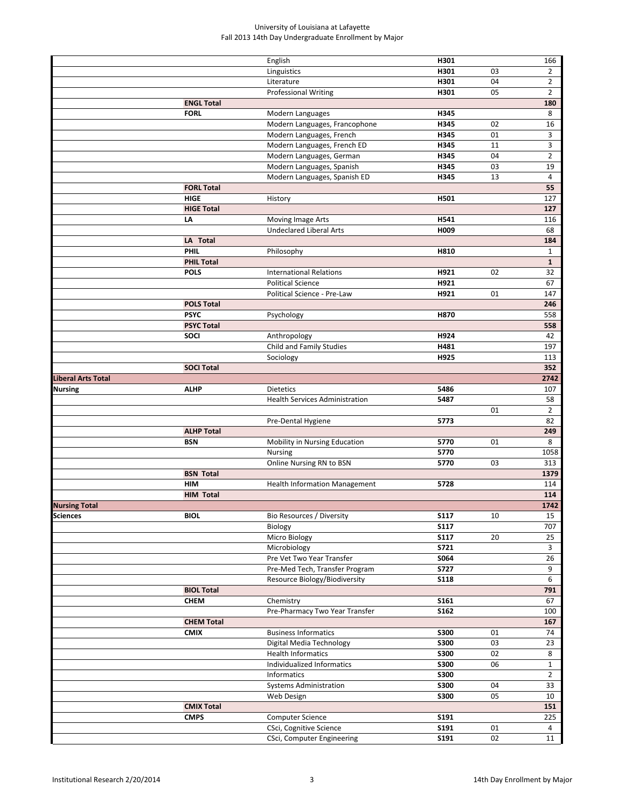|                           |                   | English                                                   | H301         |        | 166            |
|---------------------------|-------------------|-----------------------------------------------------------|--------------|--------|----------------|
|                           |                   | Linguistics                                               | H301         | 03     | $\overline{2}$ |
|                           |                   | Literature                                                | H301         | 04     | $\overline{2}$ |
|                           |                   | <b>Professional Writing</b>                               | H301         | 05     | $\overline{2}$ |
|                           | <b>ENGL Total</b> |                                                           |              |        | 180            |
|                           | <b>FORL</b>       | Modern Languages                                          | H345         |        | 8              |
|                           |                   | Modern Languages, Francophone                             | H345         | 02     | 16             |
|                           |                   | Modern Languages, French                                  | H345         | 01     | 3              |
|                           |                   | Modern Languages, French ED                               | H345         | 11     | 3              |
|                           |                   |                                                           |              | 04     |                |
|                           |                   | Modern Languages, German                                  | H345         |        | $\overline{2}$ |
|                           |                   | Modern Languages, Spanish                                 | H345         | 03     | 19             |
|                           |                   | Modern Languages, Spanish ED                              | H345         | 13     | 4              |
|                           | <b>FORL Total</b> |                                                           |              |        | 55             |
|                           | <b>HIGE</b>       | History                                                   | H501         |        | 127            |
|                           | <b>HIGE Total</b> |                                                           |              |        | 127            |
|                           | LA                | Moving Image Arts                                         | H541         |        | 116            |
|                           |                   | <b>Undeclared Liberal Arts</b>                            | H009         |        | 68             |
|                           | LA Total          |                                                           |              |        | 184            |
|                           | <b>PHIL</b>       | Philosophy                                                | H810         |        | $\mathbf{1}$   |
|                           | <b>PHIL Total</b> |                                                           |              |        | $\mathbf{1}$   |
|                           | <b>POLS</b>       | <b>International Relations</b>                            | H921         | 02     | 32             |
|                           |                   | <b>Political Science</b>                                  | H921         |        | 67             |
|                           |                   | Political Science - Pre-Law                               | H921         | 01     | 147            |
|                           | <b>POLS Total</b> |                                                           |              |        | 246            |
|                           | <b>PSYC</b>       | Psychology                                                | H870         |        | 558            |
|                           | <b>PSYC Total</b> |                                                           |              |        | 558            |
|                           | <b>SOCI</b>       | Anthropology                                              | H924         |        | 42             |
|                           |                   | Child and Family Studies                                  | H481         |        | 197            |
|                           |                   | Sociology                                                 | H925         |        | 113            |
|                           | <b>SOCI Total</b> |                                                           |              |        | 352            |
| <b>Liberal Arts Total</b> |                   |                                                           |              |        | 2742           |
| <b>Nursing</b>            |                   |                                                           |              |        |                |
|                           | <b>ALHP</b>       | <b>Dietetics</b><br><b>Health Services Administration</b> | 5486<br>5487 |        | 107<br>58      |
|                           |                   |                                                           |              |        |                |
|                           |                   |                                                           |              | 01     | $\overline{2}$ |
|                           |                   | Pre-Dental Hygiene                                        | 5773         |        | 82             |
|                           | <b>ALHP Total</b> |                                                           |              |        | 249            |
|                           | <b>BSN</b>        | Mobility in Nursing Education                             | 5770         | 01     | 8              |
|                           |                   | Nursing                                                   | 5770         |        | 1058           |
|                           |                   | Online Nursing RN to BSN                                  | 5770         | 03     | 313            |
|                           | <b>BSN Total</b>  |                                                           |              |        | 1379           |
|                           | <b>HIM</b>        | <b>Health Information Management</b>                      | 5728         |        | 114            |
|                           | <b>HIM Total</b>  |                                                           |              |        | 114            |
| <b>Nursing Total</b>      |                   |                                                           |              |        | 1742           |
| <b>Sciences</b>           | <b>BIOL</b>       | Bio Resources / Diversity                                 | <b>S117</b>  | $10\,$ | 15             |
|                           |                   | Biology                                                   | <b>S117</b>  |        | 707            |
|                           |                   | Micro Biology                                             | <b>S117</b>  | 20     | 25             |
|                           |                   | Microbiology                                              | <b>S721</b>  |        | $\overline{3}$ |
|                           |                   | Pre Vet Two Year Transfer                                 | <b>S064</b>  |        | 26             |
|                           |                   | Pre-Med Tech, Transfer Program                            | <b>S727</b>  |        | 9              |
|                           |                   | Resource Biology/Biodiversity                             | <b>S118</b>  |        | 6              |
|                           | <b>BIOL Total</b> |                                                           |              |        | 791            |
|                           | <b>CHEM</b>       | Chemistry                                                 | S161         |        | 67             |
|                           |                   | Pre-Pharmacy Two Year Transfer                            | <b>S162</b>  |        | 100            |
|                           | <b>CHEM Total</b> |                                                           |              |        | 167            |
|                           | <b>CMIX</b>       | <b>Business Informatics</b>                               | <b>S300</b>  | 01     | 74             |
|                           |                   | Digital Media Technology                                  |              |        |                |
|                           |                   |                                                           | <b>S300</b>  | 03     | 23             |
|                           |                   | <b>Health Informatics</b>                                 | <b>S300</b>  | 02     | 8              |
|                           |                   | Individualized Informatics                                | <b>S300</b>  | 06     | $\mathbf{1}$   |
|                           |                   | Informatics                                               | <b>S300</b>  |        | $\overline{2}$ |
|                           |                   | <b>Systems Administration</b>                             | <b>S300</b>  | 04     | 33             |
|                           |                   | Web Design                                                | <b>S300</b>  | 05     | 10             |
|                           | <b>CMIX Total</b> |                                                           |              |        | 151            |
|                           | <b>CMPS</b>       | Computer Science                                          | S191         |        | 225            |
|                           |                   | CSci, Cognitive Science                                   | S191         | 01     | 4              |
|                           |                   | CSci, Computer Engineering                                | S191         | 02     | 11             |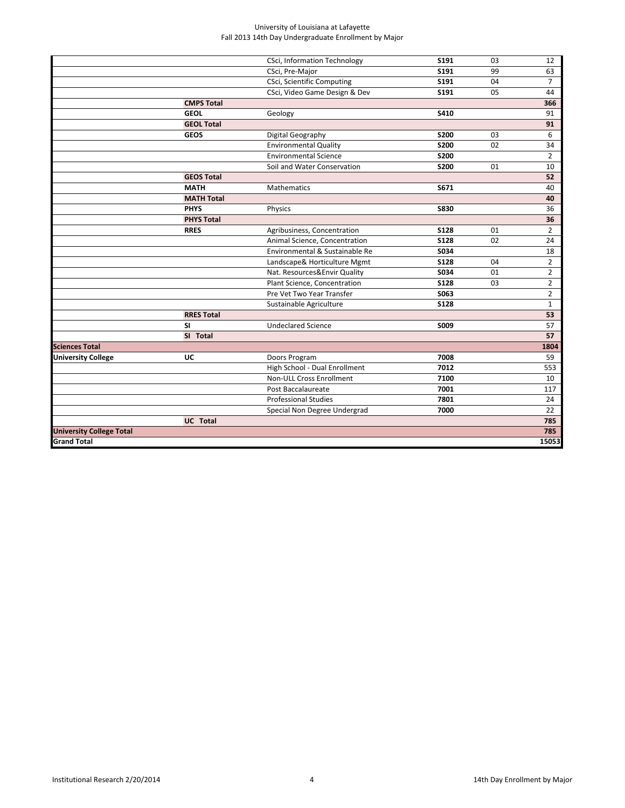|                                 |                   | <b>CSci, Information Technology</b> | S191        | 03 | 12             |
|---------------------------------|-------------------|-------------------------------------|-------------|----|----------------|
|                                 |                   | CSci, Pre-Major                     | S191        | 99 | 63             |
|                                 |                   | CSci, Scientific Computing          | S191        | 04 | $\overline{7}$ |
|                                 |                   | CSci, Video Game Design & Dev       | S191        | 05 | 44             |
|                                 | <b>CMPS Total</b> |                                     |             |    | 366            |
|                                 | <b>GEOL</b>       | Geology                             | S410        |    | 91             |
|                                 | <b>GEOL Total</b> |                                     |             |    | 91             |
|                                 | <b>GEOS</b>       | Digital Geography                   | <b>S200</b> | 03 | 6              |
|                                 |                   | <b>Environmental Quality</b>        | <b>S200</b> | 02 | 34             |
|                                 |                   | <b>Environmental Science</b>        | <b>S200</b> |    | $\overline{2}$ |
|                                 |                   | Soil and Water Conservation         | <b>S200</b> | 01 | 10             |
|                                 | <b>GEOS Total</b> |                                     |             |    | 52             |
|                                 | <b>MATH</b>       | <b>Mathematics</b>                  | S671        |    | 40             |
|                                 | <b>MATH Total</b> |                                     |             |    | 40             |
|                                 | <b>PHYS</b>       | Physics                             | <b>S830</b> |    | 36             |
|                                 | <b>PHYS Total</b> |                                     |             |    | 36             |
|                                 | <b>RRES</b>       | Agribusiness, Concentration         | <b>S128</b> | 01 | $\overline{2}$ |
|                                 |                   | Animal Science, Concentration       | <b>S128</b> | 02 | 24             |
|                                 |                   | Environmental & Sustainable Re      | <b>S034</b> |    | 18             |
|                                 |                   | Landscape& Horticulture Mgmt        | <b>S128</b> | 04 | $\overline{2}$ |
|                                 |                   | Nat. Resources&Envir Quality        | <b>S034</b> | 01 | $\overline{2}$ |
|                                 |                   | Plant Science, Concentration        | <b>S128</b> | 03 | $\overline{2}$ |
|                                 |                   | Pre Vet Two Year Transfer           | S063        |    | $\overline{2}$ |
|                                 |                   | Sustainable Agriculture             | <b>S128</b> |    | $\mathbf{1}$   |
|                                 | <b>RRES Total</b> |                                     |             |    | 53             |
|                                 | <b>SI</b>         | <b>Undeclared Science</b>           | S009        |    | 57             |
|                                 | SI Total          |                                     |             |    | 57             |
| <b>Sciences Total</b>           |                   |                                     |             |    | 1804           |
| <b>University College</b>       | UC                | Doors Program                       | 7008        |    | 59             |
|                                 |                   | High School - Dual Enrollment       | 7012        |    | 553            |
|                                 |                   | <b>Non-ULL Cross Enrollment</b>     | 7100        |    | 10             |
|                                 |                   | Post Baccalaureate                  | 7001        |    | 117            |
|                                 |                   | <b>Professional Studies</b>         | 7801        |    | 24             |
|                                 |                   | Special Non Degree Undergrad        | 7000        |    | 22             |
|                                 | <b>UC</b> Total   |                                     |             |    | 785            |
| <b>University College Total</b> |                   |                                     |             |    | 785            |
| <b>Grand Total</b>              |                   |                                     |             |    | 15053          |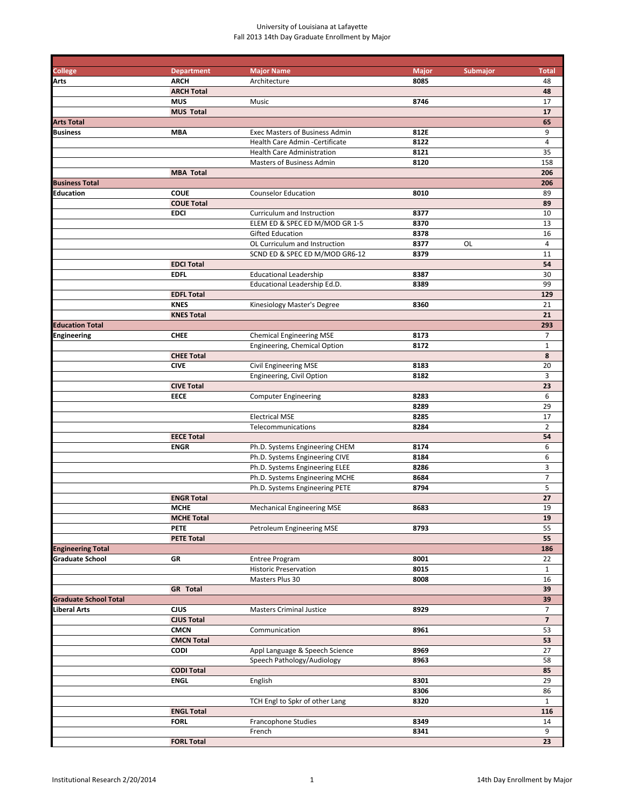| <b>College</b>               | <b>Department</b><br><b>ARCH</b> | <b>Major Name</b><br>Architecture     | <b>Major</b><br>8085 | Submajor | <b>Total</b><br>48 |
|------------------------------|----------------------------------|---------------------------------------|----------------------|----------|--------------------|
| Arts                         | <b>ARCH Total</b>                |                                       |                      |          | 48                 |
|                              | <b>MUS</b>                       | Music                                 | 8746                 |          | 17                 |
|                              | <b>MUS Total</b>                 |                                       |                      |          | 17                 |
| <b>Arts Total</b>            |                                  |                                       |                      |          | 65                 |
| <b>Business</b>              | <b>MBA</b>                       | <b>Exec Masters of Business Admin</b> | 812E                 |          | 9                  |
|                              |                                  | Health Care Admin - Certificate       | 8122                 |          | $\sqrt{4}$         |
|                              |                                  | <b>Health Care Administration</b>     | 8121                 |          | 35                 |
|                              |                                  | Masters of Business Admin             | 8120                 |          | 158                |
|                              | <b>MBA Total</b>                 |                                       |                      |          | 206                |
| <b>Business Total</b>        |                                  |                                       |                      |          | 206                |
| <b>Education</b>             | <b>COUE</b>                      | <b>Counselor Education</b>            | 8010                 |          | 89                 |
|                              | <b>COUE Total</b>                |                                       |                      |          | 89                 |
|                              | <b>EDCI</b>                      | Curriculum and Instruction            | 8377                 |          | 10                 |
|                              |                                  | ELEM ED & SPEC ED M/MOD GR 1-5        | 8370                 |          | 13                 |
|                              |                                  | <b>Gifted Education</b>               | 8378                 |          | 16                 |
|                              |                                  | OL Curriculum and Instruction         | 8377                 | OL       | 4                  |
|                              |                                  | SCND ED & SPEC ED M/MOD GR6-12        | 8379                 |          | 11                 |
|                              | <b>EDCI Total</b>                |                                       |                      |          | 54                 |
|                              | <b>EDFL</b>                      | <b>Educational Leadership</b>         | 8387                 |          | 30                 |
|                              |                                  | Educational Leadership Ed.D.          | 8389                 |          | 99                 |
|                              | <b>EDFL Total</b>                |                                       |                      |          | 129                |
|                              | <b>KNES</b>                      | Kinesiology Master's Degree           | 8360                 |          | 21                 |
|                              | <b>KNES Total</b>                |                                       |                      |          | 21                 |
| <b>Education Total</b>       |                                  | <b>Chemical Engineering MSE</b>       |                      |          | 293                |
| Engineering                  | <b>CHEE</b>                      |                                       | 8173<br>8172         |          | 7<br>$\mathbf 1$   |
|                              | <b>CHEE Total</b>                | Engineering, Chemical Option          |                      |          | 8                  |
|                              | <b>CIVE</b>                      | <b>Civil Engineering MSE</b>          | 8183                 |          | 20                 |
|                              |                                  | Engineering, Civil Option             | 8182                 |          | $\overline{3}$     |
|                              | <b>CIVE Total</b>                |                                       |                      |          | 23                 |
|                              | <b>EECE</b>                      | <b>Computer Engineering</b>           | 8283                 |          | 6                  |
|                              |                                  |                                       | 8289                 |          | 29                 |
|                              |                                  | <b>Electrical MSE</b>                 | 8285                 |          | 17                 |
|                              |                                  | Telecommunications                    | 8284                 |          | $\overline{2}$     |
|                              | <b>EECE Total</b>                |                                       |                      |          | 54                 |
|                              | <b>ENGR</b>                      | Ph.D. Systems Engineering CHEM        | 8174                 |          | 6                  |
|                              |                                  | Ph.D. Systems Engineering CIVE        | 8184                 |          | 6                  |
|                              |                                  | Ph.D. Systems Engineering ELEE        | 8286                 |          | 3                  |
|                              |                                  | Ph.D. Systems Engineering MCHE        | 8684                 |          | $\overline{7}$     |
|                              |                                  | Ph.D. Systems Engineering PETE        | 8794                 |          | 5                  |
|                              | <b>ENGR Total</b>                |                                       |                      |          | 27                 |
|                              | <b>MCHE</b>                      | <b>Mechanical Engineering MSE</b>     | 8683                 |          | 19                 |
|                              | <b>MCHE Total</b>                |                                       |                      |          | 19                 |
|                              | <b>PETE</b>                      | Petroleum Engineering MSE             | 8793                 |          | 55                 |
|                              | <b>PETE Total</b>                |                                       |                      |          | 55                 |
| <b>Engineering Total</b>     |                                  |                                       |                      |          | 186                |
| <b>Graduate School</b>       | GR                               | <b>Entree Program</b>                 | 8001                 |          | 22                 |
|                              |                                  | <b>Historic Preservation</b>          | 8015                 |          | $\mathbf{1}$       |
|                              |                                  | Masters Plus 30                       | 8008                 |          | 16                 |
|                              | <b>GR</b> Total                  |                                       |                      |          | 39                 |
| <b>Graduate School Total</b> |                                  |                                       |                      |          | 39                 |
| Liberal Arts                 | CJUS                             | <b>Masters Criminal Justice</b>       | 8929                 |          | 7                  |
|                              | <b>CJUS Total</b>                |                                       |                      |          | $\overline{7}$     |
|                              | <b>CMCN</b>                      | Communication                         | 8961                 |          | 53                 |
|                              | <b>CMCN Total</b>                |                                       |                      |          | 53                 |
|                              | <b>CODI</b>                      | Appl Language & Speech Science        | 8969<br>8963         |          | 27                 |
|                              | <b>CODI Total</b>                | Speech Pathology/Audiology            |                      |          | 58<br>85           |
|                              | <b>ENGL</b>                      | English                               | 8301                 |          | 29                 |
|                              |                                  |                                       | 8306                 |          | 86                 |
|                              |                                  | TCH Engl to Spkr of other Lang        | 8320                 |          | $\mathbf{1}$       |
|                              | <b>ENGL Total</b>                |                                       |                      |          | 116                |
|                              | <b>FORL</b>                      | Francophone Studies                   | 8349                 |          | 14                 |
|                              |                                  | French                                | 8341                 |          | 9                  |
|                              | <b>FORL Total</b>                |                                       |                      |          | 23                 |
|                              |                                  |                                       |                      |          |                    |